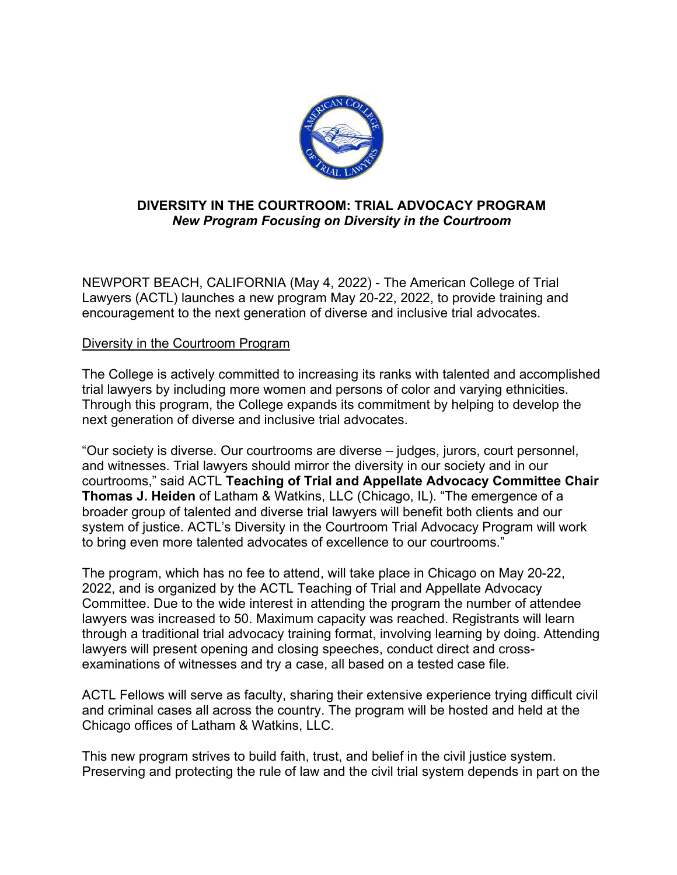

## **DIVERSITY IN THE COURTROOM: TRIAL ADVOCACY PROGRAM**  *New Program Focusing on Diversity in the Courtroom*

NEWPORT BEACH, CALIFORNIA (May 4, 2022) - The American College of Trial Lawyers (ACTL) launches a new program May 20-22, 2022, to provide training and encouragement to the next generation of diverse and inclusive trial advocates.

## Diversity in the Courtroom Program

The College is actively committed to increasing its ranks with talented and accomplished trial lawyers by including more women and persons of color and varying ethnicities. Through this program, the College expands its commitment by helping to develop the next generation of diverse and inclusive trial advocates.

"Our society is diverse. Our courtrooms are diverse – judges, jurors, court personnel, and witnesses. Trial lawyers should mirror the diversity in our society and in our courtrooms," said ACTL **Teaching of Trial and Appellate Advocacy Committee Chair Thomas J. Heiden** of Latham & Watkins, LLC (Chicago, IL). "The emergence of a broader group of talented and diverse trial lawyers will benefit both clients and our system of justice. ACTL's Diversity in the Courtroom Trial Advocacy Program will work to bring even more talented advocates of excellence to our courtrooms."

The program, which has no fee to attend, will take place in Chicago on May 20-22, 2022, and is organized by the ACTL Teaching of Trial and Appellate Advocacy Committee. Due to the wide interest in attending the program the number of attendee lawyers was increased to 50. Maximum capacity was reached. Registrants will learn through a traditional trial advocacy training format, involving learning by doing. Attending lawyers will present opening and closing speeches, conduct direct and crossexaminations of witnesses and try a case, all based on a tested case file.

ACTL Fellows will serve as faculty, sharing their extensive experience trying difficult civil and criminal cases all across the country. The program will be hosted and held at the Chicago offices of Latham & Watkins, LLC.

This new program strives to build faith, trust, and belief in the civil justice system. Preserving and protecting the rule of law and the civil trial system depends in part on the